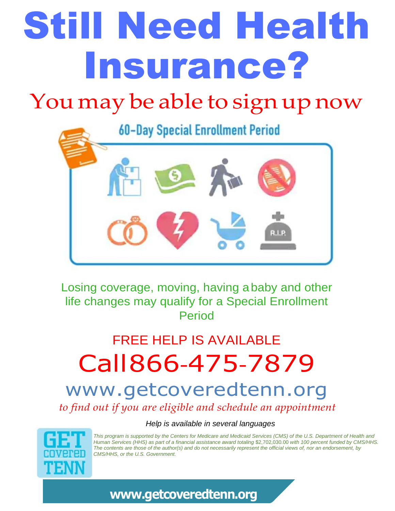# Still Need Health Insurance?

### You may be able to sign up now



Losing coverage, moving, having ababy and other life changes may qualify for a Special Enrollment Period

### FREE HELP IS AVAILABLE Call866-475-7879

#### www.getcoveredtenn.org *to find out if you are eligible and schedule an appointment*

 *Help is available in several languages*



*This program is supported by the Centers for Medicare and Medicaid Services (CMS) of the U.S. Department of Health and Human Services (HHS) as part of a financial assistance award totaling* \$2,702,030.00 *with 100 percent funded by CMS/HHS. The contents are those of the author(s) and do not necessarily represent the official views of, nor an endorsement, by CMS/HHS, or the U.S. Government.*

#### **[www.getcoveredtenn.org](http://www.getcoveredtenn.org/)**